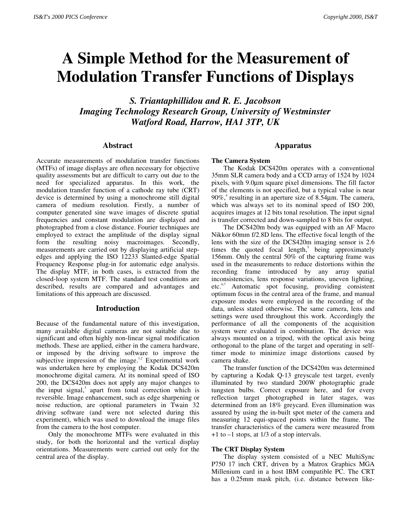# **A Simple Method for the Measurement of Modulation Transfer Functions of Displays**

*S. Triantaphillidou and R. E. Jacobson Imaging Technology Research Group, University of Westminster Watford Road, Harrow, HA1 3TP, UK*

### **Abstract**

Accurate measurements of modulation transfer functions (MTFs) of image displays are often necessary for objective quality assessments but are difficult to carry out due to the need for specialized apparatus. In this work, the modulation transfer function of a cathode ray tube (CRT) device is determined by using a monochrome still digital camera of medium resolution. Firstly, a number of computer generated sine wave images of discrete spatial frequencies and constant modulation are displayed and photographed from a close distance. Fourier techniques are employed to extract the amplitude of the display signal form the resulting noisy macroimages. Secondly, measurements are carried out by displaying artificial stepedges and applying the ISO 12233 Slanted-edge Spatial Frequency Response plug-in for automatic edge analysis. The display MTF, in both cases, is extracted from the closed-loop system MTF. The standard test conditions are described, results are compared and advantages and limitations of this approach are discussed.

## **Introduction**

Because of the fundamental nature of this investigation, many available digital cameras are not suitable due to significant and often highly non-linear signal modification methods. These are applied, either in the camera hardware, or imposed by the driving software to improve the subjective impression of the image. $1,2$  Experimental work was undertaken here by employing the Kodak DCS420m monochrome digital camera. At its nominal speed of ISO 200, the DCS420m does not apply any major changes to the input signal,<sup>3</sup> apart from tonal correction which is reversible. Image enhancement, such as edge sharpening or noise reduction, are optional parameters in Twain 32 driving software (and were not selected during this experiment), which was used to download the image files from the camera to the host computer.

Only the monochrome MTFs were evaluated in this study, for both the horizontal and the vertical display orientations. Measurements were carried out only for the central area of the display.

# **Apparatus**

#### **The Camera System**

The Kodak DCS420m operates with a conventional 35mm SLR camera body and a CCD array of 1524 by 1024 pixels, with 9.0µm square pixel dimensions. The fill factor of the elements is not specified, but a typical value is near 90%,<sup>4</sup> resulting in an aperture size of 8.54 $\mu$ m. The camera, which was always set to its nominal speed of ISO 200, acquires images at 12 bits tonal resolution. The input signal is transfer corrected and down-sampled to 8 bits for output.

The DCS420m body was equipped with an AF Macro Nikkor 60mm f/2.8D lens. The effective focal length of the lens with the size of the DCS420m imaging sensor is 2.6 times the quoted focal length, $5$  being approximately 156mm. Only the central 50% of the capturing frame was used in the measurements to reduce distortions within the recording frame introduced by any array spatial inconsistencies, lens response variations, uneven lighting, etc.6,7 Automatic spot focusing, providing consistent optimum focus in the central area of the frame, and manual exposure modes were employed in the recording of the data, unless stated otherwise. The same camera, lens and settings were used throughout this work. Accordingly the performance of all the components of the acquisition system were evaluated in combination. The device was always mounted on a tripod, with the optical axis being orthogonal to the plane of the target and operating in selftimer mode to minimize image distortions caused by camera shake.

The transfer function of the DCS420m was determined by capturing a Kodak Q-13 greyscale test target, evenly illuminated by two standard 200W photographic grade tungsten bulbs. Correct exposure here, and for every reflection target photographed in later stages, was determined from an 18% greycard. Even illumination was assured by using the in-built spot meter of the camera and measuring 12 equi-spaced points within the frame. The transfer characteristics of the camera were measured from +1 to –1 stops, at 1/3 of a stop intervals.

#### **The CRT Display System**

The display system consisted of a NEC MultiSync P750 17 inch CRT, driven by a Matrox Graphics MGA Millenium card in a host IBM compatible PC. The CRT has a 0.25mm mask pitch, (i.e. distance between like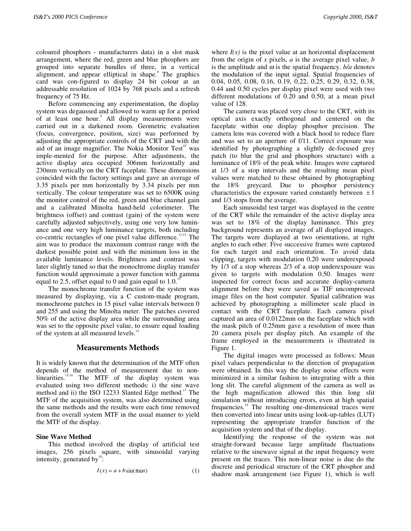coloured phosphors - manufacturers data) in a slot mask arrangement, where the red, green and blue phosphors are grouped into separate bundles of three, in a vertical alignment, and appear elliptical in shape.<sup>8</sup> The graphics card was con-figured to display 24 bit colour at an addressable resolution of 1024 by 768 pixels and a refresh frequency of 75 Hz.

Before commencing any experimentation, the display system was degaussed and allowed to warm up for a period of at least one hour.<sup>9</sup> All display measurements were carried out in a darkened room. Geometric evaluation (focus, convergence, position, size) was performed by adjusting the appropriate controls of the CRT and with the aid of an image magnifier. The Nokia Monitor Test<sup>10</sup> was imple-mented for the purpose. After adjustments, the active display area occupied 306mm horizontally and 230mm vertically on the CRT faceplate. These dimensions coincided with the factory settings and gave an average of 3.35 pixels per mm horizontally by 3.34 pixels per mm vertically. The colour temperature was set to 6500K using the monitor control of the red, green and blue channel gain and a calibrated Minolta hand-held colorimeter. The brightness (offset) and contrast (gain) of the system were carefully adjusted subjectively, using one very low luminance and one very high luminance targets, both including co-centric rectangles of one pixel value difference.<sup>11,12</sup> The aim was to produce the maximum contrast range with the darkest possible point and with the minimum loss in the available luminance levels. Brightness and contrast was later slightly tuned so that the monochrome display transfer function would approximate a power function with gamma equal to 2.5, offset equal to 0 and gain equal to  $1.0<sup>1</sup>$ 

The monochrome transfer function of the system was measured by displaying, via a C custom-made program, monochrome patches in 15 pixel value intervals between 0 and 255 and using the Minolta meter. The patches covered 50% of the active display area while the surrounding area was set to the opposite pixel value, to ensure equal loading of the system at all measured levels.<sup>14</sup>

# **Measurements Methods**

It is widely known that the determination of the MTF often depends of the method of measurement due to nonlinearities.<sup>15,16</sup> The MTF of the display system was evaluated using two different methods: i) the sine wave method and ii) the ISO 12233 Slanted Edge method.<sup>17</sup> The MTF of the acquisition system, was also determined using the same methods and the results were each time removed from the overall system MTF in the usual manner to yield the MTF of the display.

# **Sine Wave Method**

This method involved the display of artificial test images, 256 pixels square, with sinusoidal varying intensity, generated by<sup>18</sup>:

$$
I(x) = a + b\sin(\pi\omega x) \tag{1}
$$

where  $I(x)$  is the pixel value at an horizontal displacement from the origin of *x* pixels, *a* is the average pixel value, *b* is the amplitude and  $\omega$  is the spatial frequency.  $b/a$  denotes the modulation of the input signal. Spatial frequencies of 0.04, 0.05, 0.08, 0.16, 0.19, 0.22, 0.25, 0.29, 0.32, 0.38, 0.44 and 0.50 cycles per display pixel were used with two different modulations of 0.20 and 0.50, at a mean pixel value of 128.

The camera was placed very close to the CRT, with its optical axis exactly orthogonal and centered on the faceplate within one display phosphor precision. The camera lens was covered with a black hood to reduce flare and was set to an aperture of f/11. Correct exposure was identified by photographing a slightly de-focused grey patch (to blur the grid and phosphors structure) with a luminance of 18% of the peak white. Images were captured at 1/3 of a stop intervals and the resulting mean pixel values were matched to these obtained by photographing the 18% greycard. Due to phosphor persistency characteristics the exposure varied constantly between  $\pm 1$ and 1/3 stops from the average.

Each sinusoidal test target was displayed in the centre of the CRT while the remainder of the active display area was set to 18% of the display luminance. This grey background represents an average of all displayed images. The targets were displayed at two orientations, at right angles to each other. Five successive frames were captured for each target and each orientation. To avoid data clipping, targets with modulation 0.20 were underexposed by 1/3 of a stop whereas 2/3 of a stop underexposure was given to targets with modulation 0.50. Images were inspected for correct focus and accurate display-camera alignment before they were saved as TIF uncompressed image files on the host computer. Spatial calibration was achieved by photographing a millimeter scale placd in contact with the CRT faceplate. Each camera pixel captured an area of 0.0122mm on the faceplate which with the mask pitch of 0.25mm gave a resolution of more than 20 camera pixels per display pitch. An example of the frame employed in the measurements is illustrated in Figure 1.

The digital images were processed as follows: Mean pixel values perpendicular to the direction of propagation were obtained. In this way the display noise effects were minimized in a similar fashion to integrating with a thin long slit. The careful alignment of the camera as well as the high magnification allowed this thin long slit simulation without introducing errors, even at high spatial frequencies.19 The resulting one-dimensional traces were then converted into linear units using look-up-tables (LUT) representing the appropriate transfer function of the acquisition system and that of the display.

Identifying the response of the system was not straight-forward because large amplitude fluctuations relative to the sinewave signal at the input frequency were present on the traces. This non-linear noise is due do the discrete and periodical structure of the CRT phosphor and shadow mask arrangement (see Figure 1), which is well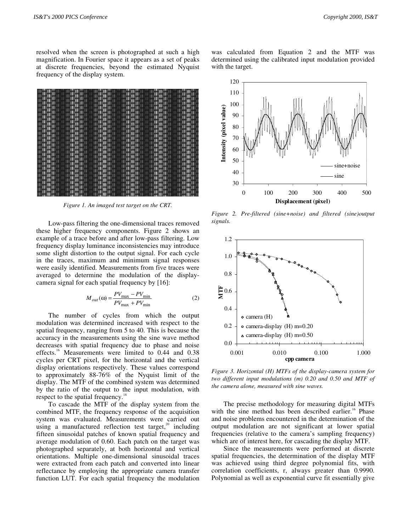resolved when the screen is photographed at such a high magnification. In Fourier space it appears as a set of peaks at discrete frequencies, beyond the estimated Nyquist frequency of the display system.



*Figure 1. An imaged test target on the CRT.*

Low-pass filtering the one-dimensional traces removed these higher frequency components. Figure 2 shows an example of a trace before and after low-pass filtering. Low frequency display luminance inconsistencies may introduce some slight distortion to the output signal. For each cycle in the traces, maximum and minimum signal responses were easily identified. Measurements from five traces were averaged to determine the modulation of the displaycamera signal for each spatial frequency by [16]:

$$
M_{out}(\omega) = \frac{PV_{\text{max}} - PV_{\text{min}}}{PV_{\text{max}} + PV_{\text{min}}}
$$
 (2)

The number of cycles from which the output modulation was determined increased with respect to the spatial frequency, ranging from 5 to 40. This is because the accuracy in the measurements using the sine wave method decreases with spatial frequency due to phase and noise effects.<sup>16</sup> Measurements were limited to 0.44 and 0.38 cycles per CRT pixel, for the horizontal and the vertical display orientations respectively. These values correspond to approximately 88-76% of the Nyquist limit of the display. The MTF of the combined system was determined by the ratio of the output to the input modulation, with respect to the spatial frequency.<sup>18</sup>

To cascade the MTF of the display system from the combined MTF, the frequency response of the acquisition system was evaluated. Measurements were carried out using a manufactured reflection test target, $^{20}$  including fifteen sinusoidal patches of known spatial frequency and average modulation of 0.60. Each patch on the target was photographed separately, at both horizontal and vertical orientations. Multiple one-dimensional sinusoidal traces were extracted from each patch and converted into linear reflectance by employing the appropriate camera transfer function LUT. For each spatial frequency the modulation

was calculated from Equation 2 and the MTF was determined using the calibrated input modulation provided with the target.



*Figure 2. Pre-filtered (sine+noise) and filtered (sine)output signals.*



*Figure 3. Horizontal (H) MTFs of the display-camera system for two different input modulations (m) 0.20 and 0.50 and MTF of the camera alone, measured with sine waves.*

The precise methodology for measuring digital MTFs with the sine method has been described earlier.<sup>16</sup> Phase and noise problems encountered in the determination of the output modulation are not significant at lower spatial frequencies (relative to the camera's sampling frequency) which are of interest here, for cascading the display MTF.

Since the measurements were performed at discrete spatial frequencies, the determination of the display MTF was achieved using third degree polynomial fits, with correlation coefficients, r, always greater than 0.9990. Polynomial as well as exponential curve fit essentially give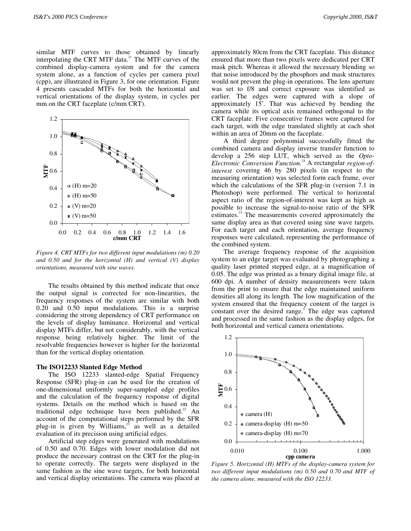similar MTF curves to those obtained by linearly interpolating the CRT MTF data.<sup>21</sup> The MTF curves of the combined display-camera system and for the camera system alone, as a function of cycles per camera pixel (cpp), are illustrated in Figure 3, for one orientation. Figure 4 presents cascaded MTFs for both the horizontal and vertical orientations of the display system, in cycles per mm on the CRT faceplate (c/mm CRT).



*Figure 4. CRT MTFs for two different input modulations (m) 0.20 and 0.50 and for the horizontal (H) and vertical (V) display orientations, measured with sine waves.*

The results obtained by this method indicate that once the output signal is corrected for non-linearities, the frequency responses of the system are similar with both 0.20 and 0.50 input modulations. This is a surprise considering the strong dependency of CRT performance on the levels of display luminance. Horizontal and vertical display MTFs differ, but not considerably, with the vertical response being relatively higher. The limit of the resolvable frequencies however is higher for the horizontal than for the vertical display orientation.

#### **The ISO12233 Slanted Edge Method**

The ISO 12233 slanted-edge Spatial Frequency Response (SFR) plug-in can be used for the creation of one-dimensional uniformly super-sampled edge profiles and the calculation of the frequency response of digital systems. Details on the method which is based on the traditional edge technique have been published. $22$  An account of the computational steps performed by the SFR plug-in is given by Williams, $^{23}$  as well as a detailed evaluation of its precision using artificial edges.

Artificial step edges were generated with modulations of 0.50 and 0.70. Edges with lower modulation did not produce the necessary contrast on the CRT for the plug-in to operate correctly. The targets were displayed in the same fashion as the sine wave targets, for both horizontal and vertical display orientations. The camera was placed at

approximately 80cm from the CRT faceplate. This distance ensured that more than two pixels were dedicated per CRT mask pitch. Whereas it allowed the necessary blending so that noise introduced by the phosphors and mask structures would not prevent the plug-in operations. The lens aperture was set to f/8 and correct exposure was identified as earlier. The edges were captured with a slope of approximately  $15^{\circ}$ . That was achieved by bending the camera while its optical axis remained orthogonal to the CRT faceplate. Five consecutive frames were captured for each target, with the edge translated slightly at each shot within an area of 20mm on the faceplate.

A third degree polynomial successfully fitted the combined camera and display inverse transfer function to develop a 256 step LUT, which served as the *Opto-Electronic Conversion Function.*24 A rectangular *region-ofinterest* covering 46 by 280 pixels (in respect to the measuring orientation) was selected form each frame, over which the calculations of the SFR plug-in (version 7.1 in Photoshop) were performed. The vertical to horizontal aspect ratio of the region-of-interest was kept as high as possible to increase the signal-to-noise ratio of the SFR estimates.<sup>23</sup> The measurements covered approximately the same display area as that covered using sine wave targets. For each target and each orientation, average frequency responses were calculated, representing the performance of the combined system.

The average frequency response of the acquisition system to an edge target was evaluated by photographing a quality laser printed stepped edge, at a magnification of 0.05. The edge was printed as a binary digital image file, at 600 dpi. A number of density measurements were taken from the print to ensure that the edge maintained uniform densities all along its length. The low magnification of the system ensured that the frequency content of the target is constant over the desired range.<sup>4</sup> The edge was captured and processed in the same fashion as the display edges, for both horizontal and vertical camera orientations.



*Figure 5. Horizontal (H) MTFs of the display-camera system for two different input modulations (m) 0.50 and 0.70 and MTF of the camera alone, measured with the ISO 12233.*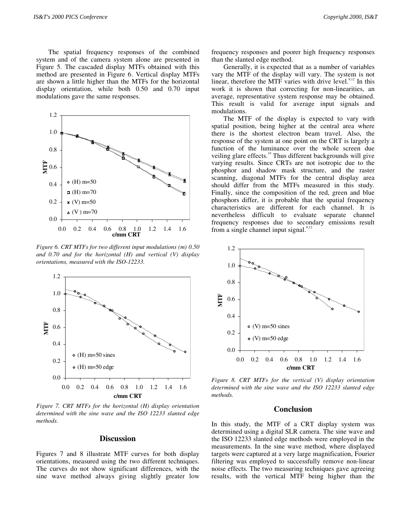The spatial frequency responses of the combined system and of the camera system alone are presented in Figure 5. The cascaded display MTFs obtained with this method are presented in Figure 6. Vertical display MTFs are shown a little higher than the MTFs for the horizontal display orientation, while both 0.50 and 0.70 input modulations gave the same responses.



*Figure 6. CRT MTFs for two different input modulations (m) 0.50 and 0.70 and for the horizontal (H) and vertical (V) display orientations, measured with the ISO-12233.*



*Figure 7. CRT MTFs for the horizontal (H) display orientation determined with the sine wave and the ISO 12233 slanted edge methods.*

## **Discussion**

Figures 7 and 8 illustrate MTF curves for both display orientations, measured using the two different techniques. The curves do not show significant differences, with the sine wave method always giving slightly greater low frequency responses and poorer high frequency responses than the slanted edge method.

Generally, it is expected that as a number of variables vary the MTF of the display will vary. The system is not linear, therefore the MTF varies with drive level. $9,12$  In this work it is shown that correcting for non-linearities, an average, representative system response may be obtained. This result is valid for average input signals and modulations.

The MTF of the display is expected to vary with spatial position, being higher at the central area where there is the shortest electron beam travel. Also, the response of the system at one point on the CRT is largely a function of the luminance over the whole screen due veiling glare effects.<sup>19</sup> Thus different backgrounds will give varying results. Since CRTs are not isotropic due to the phosphor and shadow mask structure, and the raster scanning, diagonal MTFs for the central display area should differ from the MTFs measured in this study. Finally, since the composition of the red, green and blue phosphors differ, it is probable that the spatial frequency characteristics are different for each channel. It is nevertheless difficult to evaluate separate channel frequency responses due to secondary emissions result from a single channel input signal. $9,12$ 



*Figure 8. CRT MTFs for the vertical (V) display orientation determined with the sine wave and the ISO 12233 slanted edge methods.*

# **Conclusion**

In this study, the MTF of a CRT display system was determined using a digital SLR camera. The sine wave and the ISO 12233 slanted edge methods were employed in the measurements. In the sine wave method, where displayed targets were captured at a very large magnification, Fourier filtering was employed to successfully remove non-linear noise effects. The two measuring techniques gave agreeing results, with the vertical MTF being higher than the